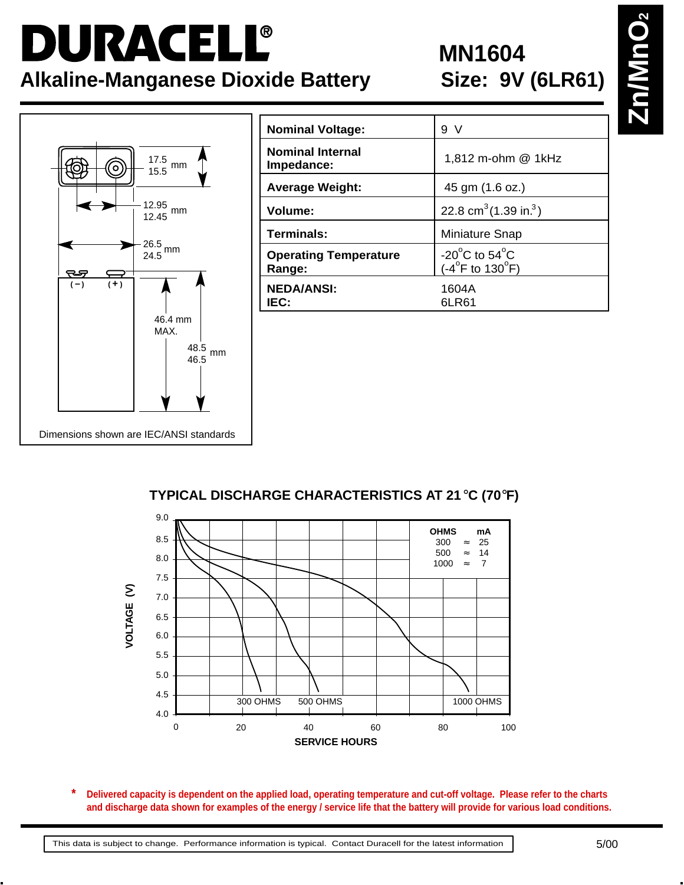## DURACELL® **Alkaline-Manganese Dioxide Battery**

# **MN1604<br>Size: 9V (6LR61)**



| <b>Nominal Voltage:</b>                | 9 V                                                                         |
|----------------------------------------|-----------------------------------------------------------------------------|
| <b>Nominal Internal</b><br>Impedance:  | 1,812 m-ohm @ 1kHz                                                          |
| <b>Average Weight:</b>                 | 45 gm (1.6 oz.)                                                             |
| Volume:                                | 22.8 cm <sup>3</sup> $(1.39 \text{ in.}^3)$                                 |
| Terminals:                             | Miniature Snap                                                              |
| <b>Operating Temperature</b><br>Range: | -20 $^{\circ}$ C to 54 $^{\circ}$ C<br>$(-4^{\circ}$ F to 130 $^{\circ}$ F) |
| <b>NEDA/ANSI:</b><br>IEC:              | 1604A<br>6LR61                                                              |

#### **TYPICAL DISCHARGE CHARACTERISTICS AT 21**°**C (70**°**F)**



**Delivered capacity is dependent on the applied load, operating temperature and cut-off voltage. Please refer to the charts and discharge data shown for examples of the energy / service life that the battery will provide for various load conditions. \***